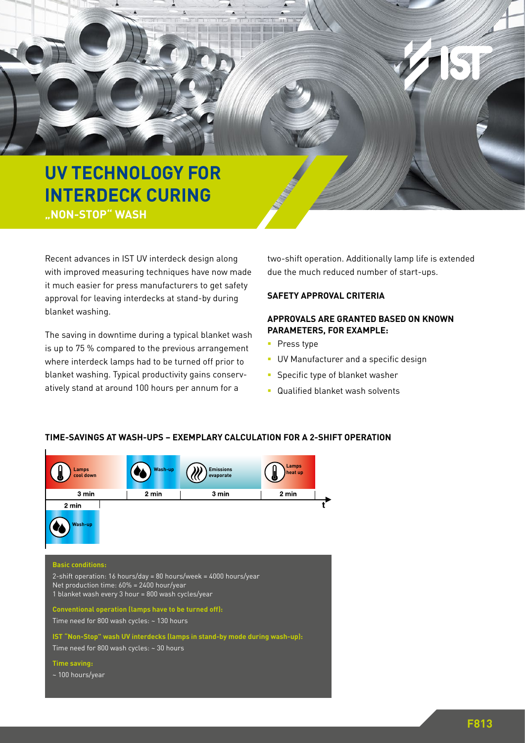

Recent advances in IST UV interdeck design along with improved measuring techniques have now made it much easier for press manufacturers to get safety approval for leaving interdecks at stand-by during blanket washing.

The saving in downtime during a typical blanket wash is up to 75 % compared to the previous arrangement where interdeck lamps had to be turned off prior to blanket washing. Typical productivity gains conservatively stand at around 100 hours per annum for a

two-shift operation. Additionally lamp life is extended due the much reduced number of start-ups.

## **SAFETY APPROVAL CRITERIA**

# **APPROVALS ARE GRANTED BASED ON KNOWN PARAMETERS, FOR EXAMPLE:**

- **Press type**
- **UV Manufacturer and a specific design**
- **Specific type of blanket washer**
- **Qualified blanket wash solvents**



#### **TIME-SAVINGS AT WASH-UPS – EXEMPLARY CALCULATION FOR A 2-SHIFT OPERATION**